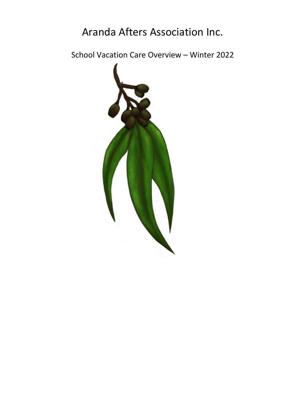# Aranda Afters Association Inc.

School Vacation Care Overview – Winter 2022

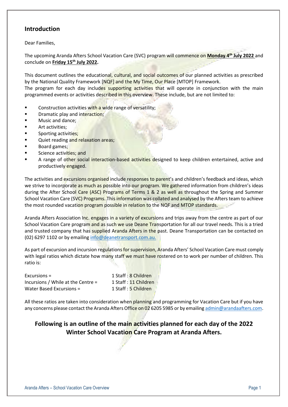## **Introduction**

Dear Families,

The upcoming Aranda Afters School Vacation Care (SVC) program will commence on **Monday 4 th July 2022** and conclude on **Friday 15 th July 2022.** 

This document outlines the educational, cultural, and social outcomes of our planned activities as prescribed by the National Quality Framework [NQF] and the My Time, Our Place [MTOP] Framework.

The program for each day includes supporting activities that will operate in conjunction with the main programmed events or activities described in this overview. These include, but are not limited to:

- Construction activities with a wide range of versatility;
- Dramatic play and interaction;
- Music and dance:
- Art activities;
- Sporting activities;
- Quiet reading and relaxation areas;
- Board games:
- Science activities; and
- A range of other social interaction-based activities designed to keep children entertained, active and productively engaged.

The activities and excursions organised include responses to parent's and children's feedback and ideas, which we strive to incorporate as much as possible into our program. We gathered information from children's ideas during the After School Care (ASC) Programs of Terms 1 & 2 as well as throughout the Spring and Summer School Vacation Care (SVC) Programs. This information was collated and analysed by the Afters team to achieve the most rounded vacation program possible in relation to the NQF and MTOP standards.

Aranda Afters Association Inc. engages in a variety of excursions and trips away from the centre as part of our School Vacation Care program and as such we use Deane Transportation for all our travel needs. This is a tried and trusted company that has supplied Aranda Afters in the past. Deane Transportation can be contacted on (02) 6297 1102 or by emailing [info@deanetransport.com.au.](mailto:info@deanetransport.com.au)

As part of excursion and incursion regulations for supervision, Aranda Afters' School Vacation Care must comply with legal ratios which dictate how many staff we must have rostered on to work per number of children. This ratio is:

| $Excursions =$                       | 1 Staff: 8 Children  |
|--------------------------------------|----------------------|
| Incursions / While at the Centre $=$ | 1 Staff: 11 Children |
| Water Based Excursions =             | 1 Staff : 5 Children |

All these ratios are taken into consideration when planning and programming for Vacation Care but if you have any concerns please contact the Aranda Afters Office on 02 6205 5985 or by emailin[g admin@arandaafters.com.](mailto:admin@arandaafters.com)

## **Following is an outline of the main activities planned for each day of the 2022 Winter School Vacation Care Program at Aranda Afters.**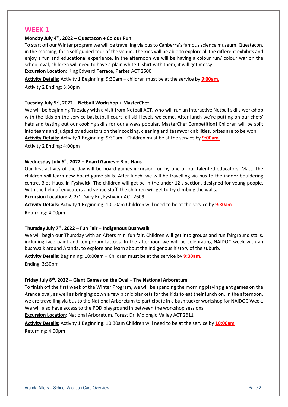## **WEEK 1**

#### **Monday July 4th, 2022 – Questacon + Colour Run**

To start off our Winter program we will be travelling via bus to Canberra's famous science museum, Questacon, in the morning, for a self-guided tour of the venue. The kids will be able to explore all the different exhibits and enjoy a fun and educational experience. In the afternoon we will be having a colour run/ colour war on the school oval, children will need to have a plain white T-Shirt with them, it will get messy!

**Excursion Location:** King Edward Terrace, Parkes ACT 2600

**Activity Details:** Activity 1 Beginning: 9:30am – children must be at the service by **9:00am.**

Activity 2 Ending: 3:30pm

#### **Tuesday July 5th , 2022 – Netball Workshop + MasterChef**

We will be beginning Tuesday with a visit from Netball ACT, who will run an interactive Netball skills workshop with the kids on the service basketball court, all skill levels welcome. After lunch we're putting on our chefs' hats and testing out our cooking skills for our always popular, MasterChef Competition! Children will be split into teams and judged by educators on their cooking, cleaning and teamwork abilities, prizes are to be won. **Activity Details:** Activity 1 Beginning: 9:30am – Children must be at the service by **9:00am.**

Activity 2 Ending: 4:00pm

#### **Wednesday July 6th , 2022 – Board Games + Bloc Haus**

Our first activity of the day will be board games incursion run by one of our talented educators, Matt. The children will learn new board game skills. After lunch, we will be travelling via bus to the indoor bouldering centre, Bloc Haus, in Fyshwick. The children will get be in the under 12's section, designed for young people. With the help of educators and venue staff, the children will get to try climbing the walls.

**Excursion Location:** 2, 2/1 Dairy Rd, Fyshwick ACT 2609

**Activity Details:** Activity 1 Beginning: 10:00am Children will need to be at the service by **9:30am** Returning: 4:00pm

### **Thursday July 7th , 2022 – Fun Fair + Indigenous Bushwalk**

We will begin our Thursday with an Afters mini fun fair. Children will get into groups and run fairground stalls, including face paint and temporary tattoos. In the afternoon we will be celebrating NAIDOC week with an bushwalk around Aranda, to explore and learn about the Indigenous history of the suburb.

**Activity Details:** Beginning: 10:00am – Children must be at the service by **9:30am.**

Ending: 3:30pm

#### **Friday July 8th , 2022 – Giant Games on the Oval + The National Arboretum**

To finish off the first week of the Winter Program, we will be spending the morning playing giant games on the Aranda oval, as well as bringing down a few picnic blankets for the kids to eat their lunch on. In the afternoon, we are travelling via bus to the National Arboretum to participate in a bush tucker workshop for NAIDOC Week. We will also have access to the POD playground in between the workshop sessions.

**Excursion Location:** National Arboretum, Forest Dr, Molonglo Valley ACT 2611

**Activity Details:** Activity 1 Beginning: 10:30am Children will need to be at the service by **10:00am** Returning: 4:00pm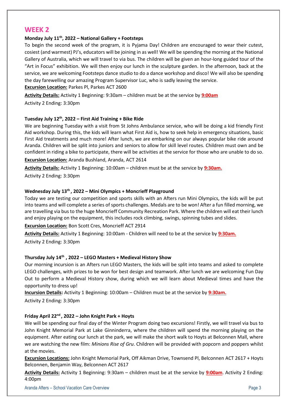## **WEEK 2**

#### **Monday July 11th, 2022 – National Gallery + Footsteps**

To begin the second week of the program, it is Pyjama Day! Children are encouraged to wear their cutest, cosiest (and warmest) PJ's, educators will be joining in as well! We will be spending the morning at the National Gallery of Australia, which we will travel to via bus. The children will be given an hour-long guided tour of the "Art in Focus" exhibition. We will then enjoy our lunch in the sculpture garden. In the afternoon, back at the service, we are welcoming Footsteps dance studio to do a dance workshop and disco! We will also be spending the day farewelling our amazing Program Supervisor Luc, who is sadly leaving the service. **Excursion Location:** Parkes Pl, Parkes ACT 2600

**Activity Details:** Activity 1 Beginning: 9:30am – children must be at the service by **9:00am**

Activity 2 Ending: 3:30pm

#### **Tuesday July 12th, 2022 – First Aid Training + Bike Ride**

We are beginning Tuesday with a visit from St Johns Ambulance service, who will be doing a kid friendly First Aid workshop. During this, the kids will learn what First Aid is, how to seek help in emergency situations, basic First Aid treatments and much more! After lunch, we are embarking on our always popular bike ride around Aranda. Children will be split into juniors and seniors to allow for skill level routes. Children must own and be confident in riding a bike to participate, there will be activities at the service for those who are unable to do so.

**Excursion Location:** Aranda Bushland, Aranda, ACT 2614

**Activity Details:** Activity 1 Beginning: 10:00am – children must be at the service by **9:30am.**

Activity 2 Ending: 3:30pm

#### **Wednesday July 13th , 2022 – Mini Olympics + Moncrieff Playground**

Today we are testing our competition and sports skills with an Afters run Mini Olympics, the kids will be put into teams and will complete a series of sports challenges. Medals are to be won! After a fun filled morning, we are travelling via bus to the huge Moncrieff Community Recreation Park. Where the children will eat their lunch and enjoy playing on the equipment, this includes rock climbing, swings, spinning tubes and slides.

**Excursion Location:** Bon Scott Cres, Moncrieff ACT 2914

**Activity Details:** Activity 1 Beginning: 10:00am - Children will need to be at the service by **9:30am.**

Activity 2 Ending: 3:30pm

#### **Thursday July 14 th , 2022 – LEGO Masters + Medieval History Show**

Our morning incursion is an Afters run LEGO Masters, the kids will be split into teams and asked to complete LEGO challenges, with prizes to be won for best design and teamwork. After lunch we are welcoming Fun Day Out to perform a Medieval History show, during which we will learn about Medieval times and have the opportunity to dress up!

**Incursion Details:** Activity 1 Beginning: 10:00am – Children must be at the service by **9:30am.**

Activity 2 Ending: 3:30pm

#### **Friday April 22nd , 2022 – John Knight Park + Hoyts**

We will be spending our final day of the Winter Program doing two excursions! Firstly, we will travel via bus to John Knight Memorial Park at Lake Ginninderra, where the children will spend the morning playing on the equipment. After eating our lunch at the park, we will make the short walk to Hoyts at Belconnen Mall, where we are watching the new film: *Minions Rise of Gru*. Children will be provided with popcorn and poppers whilst at the movies.

**Excursion Locations:** John Knight Memorial Park, Off Aikman Drive, Townsend Pl, Belconnen ACT 2617 + Hoyts Belconnen, Benjamin Way, Belconnen ACT 2617

**Activity Details:** Activity 1 Beginning: 9:30am – children must be at the service by **9:00am**. Activity 2 Ending: 4:00pm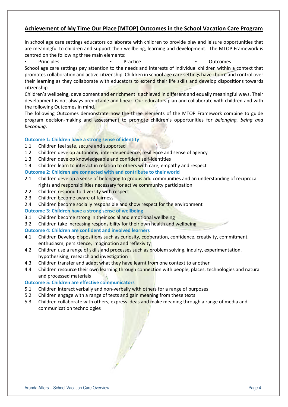## **Achievement of My Time Our Place [MTOP] Outcomes in the School Vacation Care Program**

In school age care settings educators collaborate with children to provide play and leisure opportunities that are meaningful to children and support their wellbeing, learning and development. The MTOP Framework is centred on the following three main elements:

■ Principles ■ Practice ■ Practice ■ Practice ■ Practice ■ Practice ■ Practice ■ Practice ■ Practice ■ Practice ■ Practice ■ Practice ■ Practice ■ Practice ■ Practice ■ Practice ■ Practice ■ Practice ■ Practice ■ Practice

School age care settings pay attention to the needs and interests of individual children within a context that promotes collaboration and active citizenship. Children in school age care settings have choice and control over their learning as they collaborate with educators to extend their life skills and develop dispositions towards citizenship.

Children's wellbeing, development and enrichment is achieved in different and equally meaningful ways. Their development is not always predictable and linear. Our educators plan and collaborate with children and with the following Outcomes in mind.

The following Outcomes demonstrate how the three elements of the MTOP Framework combine to guide program decision-making and assessment to promote children's opportunities for *belonging, being and becoming*.

#### **Outcome 1: Children have a strong sense of identity**

- 1.1 Children feel safe, secure and supported
- 1.2 Children develop autonomy, inter-dependence, resilience and sense of agency
- 1.3 Children develop knowledgeable and confident self-identities
- 1.4 Children learn to interact in relation to others with care, empathy and respect

#### **Outcome 2: Children are connected with and contribute to their world**

- 2.1 Children develop a sense of belonging to groups and communities and an understanding of reciprocal rights and responsibilities necessary for active community participation
- 2.2 Children respond to diversity with respect
- 2.3 Children become aware of fairness
- 2.4 Children become socially responsible and show respect for the environment

#### **Outcome 3: Children have a strong sense of wellbeing**

- 3.1 Children become strong in their social and emotional wellbeing
- 3.2 Children take increasing responsibility for their own health and wellbeing

#### **Outcome 4: Children are confident and involved learners**

- 4.1 Children Develop dispositions such as curiosity, cooperation, confidence, creativity, commitment, enthusiasm, persistence, imagination and reflexivity
- 4.2 Children use a range of skills and processes such as problem solving, inquiry, experimentation, hypothesising, research and investigation
- 4.3 Children transfer and adapt what they have learnt from one context to another
- 4.4 Children resource their own learning through connection with people, places, technologies and natural and processed materials

#### **Outcome 5: Children are effective communicators**

- 5.1 Children Interact verbally and non-verbally with others for a range of purposes
- 5.2 Children engage with a range of texts and gain meaning from these texts
- 5.3 Children collaborate with others, express ideas and make meaning through a range of media and communication technologies